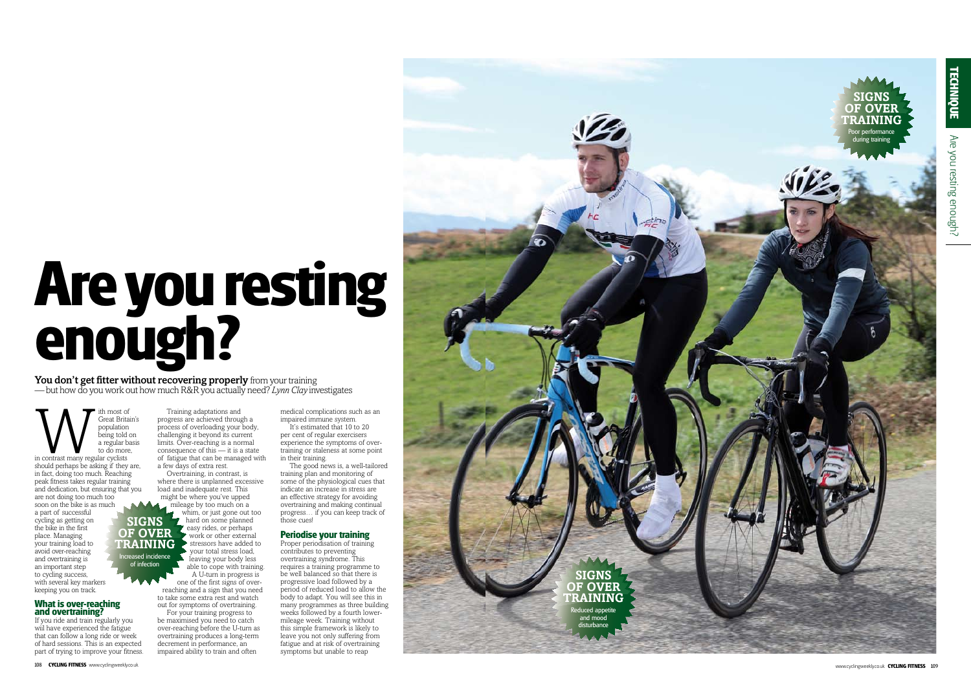**WEIGHT SET STARK SOFTER STARK SCRIPPID AT A STARK SCRIPPID A POPULATION**<br>
in contrast many regular cyclists<br>
to do more Great Britain's population .<br>being told on a regular basis to do more, should perhaps be asking if they are,

### **What is over-reaching and overtraining?**

If you ride and train regularly you wiil have experienced the fatigue that can follow a long ride or week of hard sessions. This is an expected part of trying to improve your fitness.

Training adaptations and progress are achieved through a process of overloading your body, challenging it beyond its current limits. Over-reaching is a normal consequence of this — it is a state of fatigue that can be managed with a few days of extra rest.

It's estimated that 10 to 20 per cent of regular exercisers experience the symptoms of overtraining or staleness at some point in their training.

Overtraining, in contrast, is where there is unplanned excessive load and inadequate rest. This might be where you've upped

mileage by too much on a whim, or just gone out too hard on some planned **z** easy rides, or perhaps work or other external stressors have added to your total stress load, leaving your body less able to cope with training. A U-turn in progress is one of the first signs of over-

reaching and a sign that you need to take some extra rest and watch out for symptoms of overtraining.



in fact, doing too much. Reaching peak fitness takes regular training and dedication, but ensuring that you are not doing too much too soon on the bike is as much a part of successful cycling as getting on the bike in the first place. Managing your training load to avoid over-reaching and overtraining is an important step to cycling success, with several key markers keeping you on track. **of over training**

> For your training progress to be maximised you need to catch over-reaching before the U-turn as overtraining produces a long-term decrement in performance, an impaired ability to train and often

# **Are you resting enough?**

You don't get fitter without recovering properly from your training — but how do you work out how much R&R you actually need? *Lynn Clay* investigates

> medical complications such as an impaired immune system.

The good news is, a well-tailored training plan and monitoring of some of the physiological cues that indicate an increase in stress are an effective strategy for avoiding overtraining and making continual progress… if you can keep track of those cues!

## **Periodise your training**

Proper periodisation of training contributes to preventing overtraining syndrome. This requires a training programme to be well balanced so that there is progressive load followed by a period of reduced load to allow the body to adapt. You will see this in many programmes as three building weeks followed by a fourth lowermileage week. Training without this simple framework is likely to leave you not only suffering from fatigue and at risk of overtraining symptoms but unable to reap

**signs** 

Increased incidence of infection